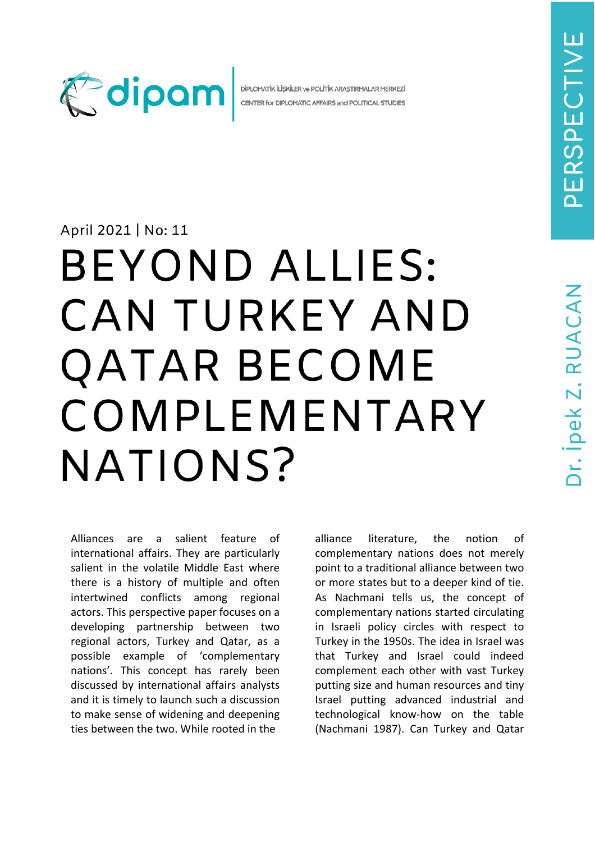

DİPLOMATİK İLİSKİLER ve POLİTİK ARASTIRMALAR MERKEZİ CENTER for DIPLOMATIC AFFAIRS and POLITICAL STUDIES

## April 2021 | No: 11

## **BEYOND ALLIES:** CAN TURKEY AND **QATAR BECOME** COMPLEMENTARY NATIONS?

Alliances are a salient feature of international affairs. They are particularly salient in the volatile Middle East where there is a history of multiple and often intertwined conflicts among regional actors. This perspective paper focuses on a developing partnership between two regional actors, Turkey and Qatar, as a possible example of 'complementary nations'. This concept has rarely been discussed by international affairs analysts and it is timely to launch such a discussion to make sense of widening and deepening ties between the two. While rooted in the

alliance literature, the notion of complementary nations does not merely point to a traditional alliance between two or more states but to a deeper kind of tie. As Nachmani tells us, the concept of complementary nations started circulating in Israeli policy circles with respect to Turkey in the 1950s. The idea in Israel was that Turkey and Israel could indeed complement each other with vast Turkey putting size and human resources and tiny Israel putting advanced industrial and technological know-how on the table (Nachmani 1987). Can Turkey and Qatar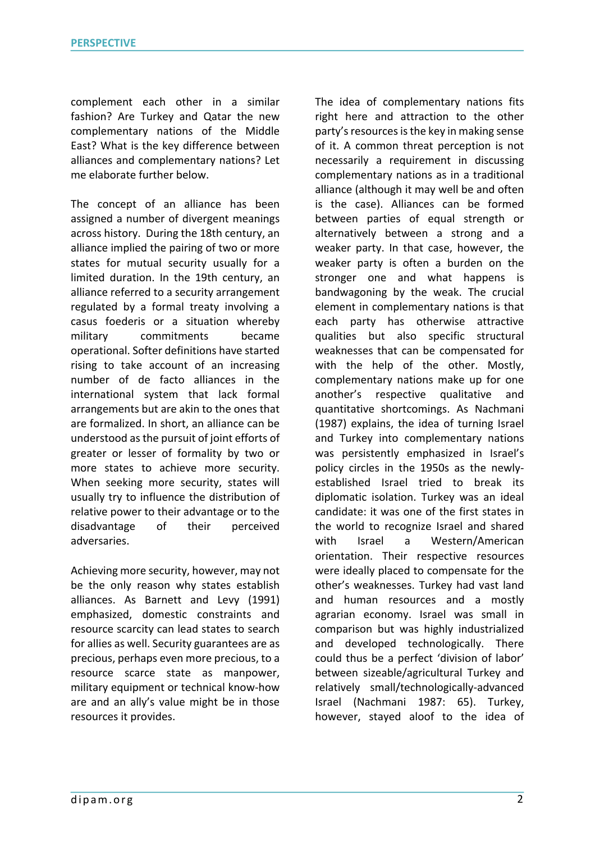complement each other in a similar fashion? Are Turkey and Qatar the new complementary nations of the Middle East? What is the key difference between alliances and complementary nations? Let me elaborate further below.

The concept of an alliance has been assigned a number of divergent meanings across history. During the 18th century, an alliance implied the pairing of two or more states for mutual security usually for a limited duration. In the 19th century, an alliance referred to a security arrangement regulated by a formal treaty involving a casus foederis or a situation whereby military commitments became operational. Softer definitions have started rising to take account of an increasing number of de facto alliances in the international system that lack formal arrangements but are akin to the ones that are formalized. In short, an alliance can be understood as the pursuit of joint efforts of greater or lesser of formality by two or more states to achieve more security. When seeking more security, states will usually try to influence the distribution of relative power to their advantage or to the disadvantage of their perceived adversaries.

Achieving more security, however, may not be the only reason why states establish alliances. As Barnett and Levy (1991) emphasized, domestic constraints and resource scarcity can lead states to search for allies as well. Security guarantees are as precious, perhaps even more precious, to a resource scarce state as manpower, military equipment or technical know-how are and an ally's value might be in those resources it provides.

The idea of complementary nations fits right here and attraction to the other party's resources is the key in making sense of it. A common threat perception is not necessarily a requirement in discussing complementary nations as in a traditional alliance (although it may well be and often is the case). Alliances can be formed between parties of equal strength or alternatively between a strong and a weaker party. In that case, however, the weaker party is often a burden on the stronger one and what happens is bandwagoning by the weak. The crucial element in complementary nations is that each party has otherwise attractive qualities but also specific structural weaknesses that can be compensated for with the help of the other. Mostly, complementary nations make up for one another's respective qualitative and quantitative shortcomings. As Nachmani (1987) explains, the idea of turning Israel and Turkey into complementary nations was persistently emphasized in Israel's policy circles in the 1950s as the newlyestablished Israel tried to break its diplomatic isolation. Turkey was an ideal candidate: it was one of the first states in the world to recognize Israel and shared with Israel a Western/American orientation. Their respective resources were ideally placed to compensate for the other's weaknesses. Turkey had vast land and human resources and a mostly agrarian economy. Israel was small in comparison but was highly industrialized and developed technologically. There could thus be a perfect 'division of labor' between sizeable/agricultural Turkey and relatively small/technologically-advanced Israel (Nachmani 1987: 65). Turkey, however, stayed aloof to the idea of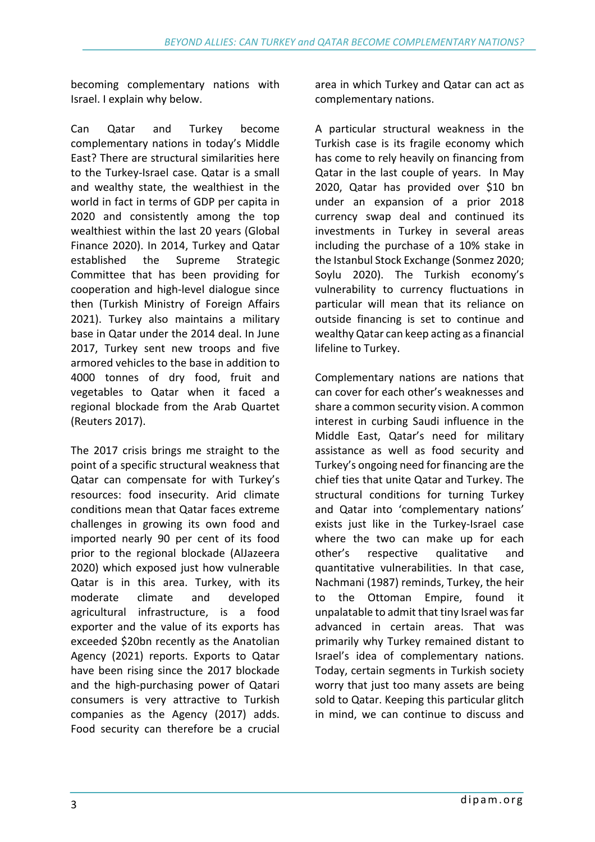becoming complementary nations with Israel. I explain why below.

Can Qatar and Turkey become complementary nations in today's Middle East? There are structural similarities here to the Turkey-Israel case. Qatar is a small and wealthy state, the wealthiest in the world in fact in terms of GDP per capita in 2020 and consistently among the top wealthiest within the last 20 years (Global Finance 2020). In 2014, Turkey and Qatar established the Supreme Strategic Committee that has been providing for cooperation and high-level dialogue since then (Turkish Ministry of Foreign Affairs 2021). Turkey also maintains a military base in Qatar under the 2014 deal. In June 2017, Turkey sent new troops and five armored vehicles to the base in addition to 4000 tonnes of dry food, fruit and vegetables to Qatar when it faced a regional blockade from the Arab Quartet (Reuters 2017).

The 2017 crisis brings me straight to the point of a specific structural weakness that Qatar can compensate for with Turkey's resources: food insecurity. Arid climate conditions mean that Qatar faces extreme challenges in growing its own food and imported nearly 90 per cent of its food prior to the regional blockade (AlJazeera 2020) which exposed just how vulnerable Qatar is in this area. Turkey, with its moderate climate and developed agricultural infrastructure, is a food exporter and the value of its exports has exceeded \$20bn recently as the Anatolian Agency (2021) reports. Exports to Qatar have been rising since the 2017 blockade and the high-purchasing power of Qatari consumers is very attractive to Turkish companies as the Agency (2017) adds. Food security can therefore be a crucial

area in which Turkey and Qatar can act as complementary nations.

A particular structural weakness in the Turkish case is its fragile economy which has come to rely heavily on financing from Qatar in the last couple of years. In May 2020, Qatar has provided over \$10 bn under an expansion of a prior 2018 currency swap deal and continued its investments in Turkey in several areas including the purchase of a 10% stake in the Istanbul Stock Exchange (Sonmez 2020; Soylu 2020). The Turkish economy's vulnerability to currency fluctuations in particular will mean that its reliance on outside financing is set to continue and wealthy Qatar can keep acting as a financial lifeline to Turkey.

Complementary nations are nations that can cover for each other's weaknesses and share a common security vision. A common interest in curbing Saudi influence in the Middle East, Qatar's need for military assistance as well as food security and Turkey's ongoing need for financing are the chief ties that unite Qatar and Turkey. The structural conditions for turning Turkey and Qatar into 'complementary nations' exists just like in the Turkey-Israel case where the two can make up for each other's respective qualitative and quantitative vulnerabilities. In that case, Nachmani (1987) reminds, Turkey, the heir to the Ottoman Empire, found it unpalatable to admit that tiny Israel was far advanced in certain areas. That was primarily why Turkey remained distant to Israel's idea of complementary nations. Today, certain segments in Turkish society worry that just too many assets are being sold to Qatar. Keeping this particular glitch in mind, we can continue to discuss and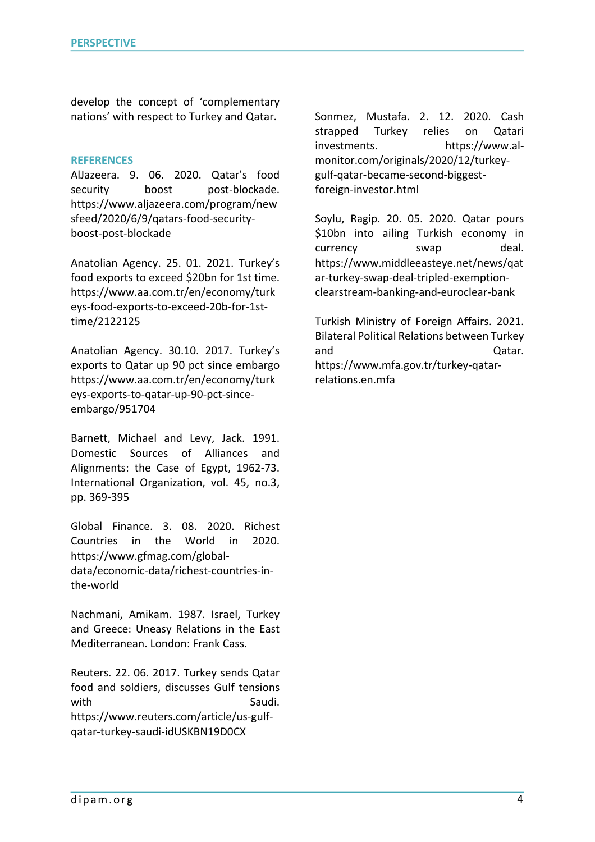develop the concept of 'complementary nations' with respect to Turkey and Qatar.

## **REFERENCES**

AlJazeera. 9. 06. 2020. Qatar's food security boost post-blockade. https://www.aljazeera.com/program/new sfeed/2020/6/9/qatars-food-securityboost-post-blockade

Anatolian Agency. 25. 01. 2021. Turkey's food exports to exceed \$20bn for 1st time. https://www.aa.com.tr/en/economy/turk eys-food-exports-to-exceed-20b-for-1sttime/2122125

Anatolian Agency. 30.10. 2017. Turkey's exports to Qatar up 90 pct since embargo https://www.aa.com.tr/en/economy/turk eys-exports-to-qatar-up-90-pct-sinceembargo/951704

Barnett, Michael and Levy, Jack. 1991. Domestic Sources of Alliances and Alignments: the Case of Egypt, 1962-73. International Organization, vol. 45, no.3, pp. 369-395

Global Finance. 3. 08. 2020. Richest Countries in the World in 2020. https://www.gfmag.com/globaldata/economic-data/richest-countries-inthe-world

Nachmani, Amikam. 1987. Israel, Turkey and Greece: Uneasy Relations in the East Mediterranean. London: Frank Cass.

Reuters. 22. 06. 2017. Turkey sends Qatar food and soldiers, discusses Gulf tensions with Saudi. https://www.reuters.com/article/us-gulfqatar-turkey-saudi-idUSKBN19D0CX

Sonmez, Mustafa. 2. 12. 2020. Cash strapped Turkey relies on Qatari investments. https://www.almonitor.com/originals/2020/12/turkeygulf-qatar-became-second-biggestforeign-investor.html

Soylu, Ragip. 20. 05. 2020. Qatar pours \$10bn into ailing Turkish economy in currency swap deal. https://www.middleeasteye.net/news/qat ar-turkey-swap-deal-tripled-exemptionclearstream-banking-and-euroclear-bank

Turkish Ministry of Foreign Affairs. 2021. Bilateral Political Relations between Turkey and **Qatar.** https://www.mfa.gov.tr/turkey-qatarrelations.en.mfa